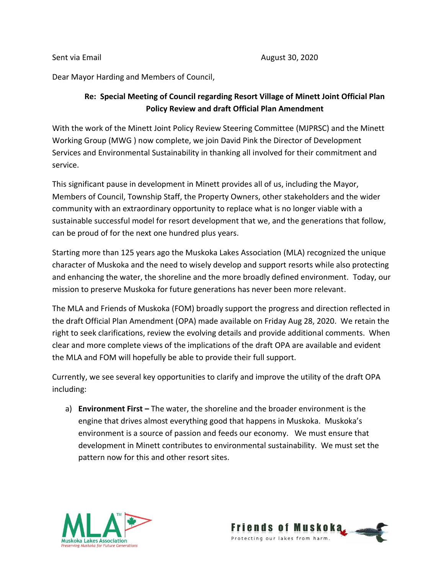Dear Mayor Harding and Members of Council,

## **Re: Special Meeting of Council regarding Resort Village of Minett Joint Official Plan Policy Review and draft Official Plan Amendment**

With the work of the Minett Joint Policy Review Steering Committee (MJPRSC) and the Minett Working Group (MWG ) now complete, we join David Pink the Director of Development Services and Environmental Sustainability in thanking all involved for their commitment and service.

This significant pause in development in Minett provides all of us, including the Mayor, Members of Council, Township Staff, the Property Owners, other stakeholders and the wider community with an extraordinary opportunity to replace what is no longer viable with a sustainable successful model for resort development that we, and the generations that follow, can be proud of for the next one hundred plus years.

Starting more than 125 years ago the Muskoka Lakes Association (MLA) recognized the unique character of Muskoka and the need to wisely develop and support resorts while also protecting and enhancing the water, the shoreline and the more broadly defined environment. Today, our mission to preserve Muskoka for future generations has never been more relevant.

The MLA and Friends of Muskoka (FOM) broadly support the progress and direction reflected in the draft Official Plan Amendment (OPA) made available on Friday Aug 28, 2020. We retain the right to seek clarifications, review the evolving details and provide additional comments. When clear and more complete views of the implications of the draft OPA are available and evident the MLA and FOM will hopefully be able to provide their full support.

Currently, we see several key opportunities to clarify and improve the utility of the draft OPA including:

a) **Environment First –** The water, the shoreline and the broader environment is the engine that drives almost everything good that happens in Muskoka. Muskoka's environment is a source of passion and feeds our economy. We must ensure that development in Minett contributes to environmental sustainability. We must set the pattern now for this and other resort sites.



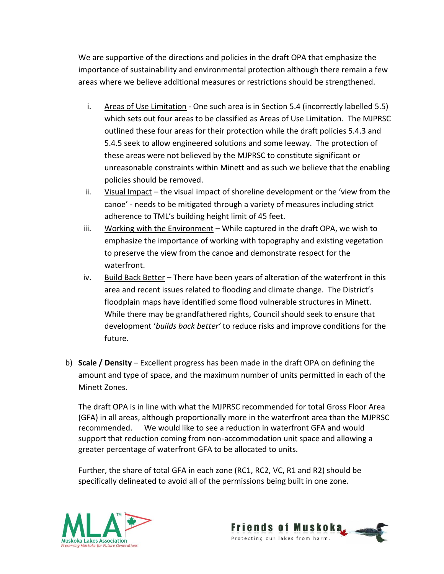We are supportive of the directions and policies in the draft OPA that emphasize the importance of sustainability and environmental protection although there remain a few areas where we believe additional measures or restrictions should be strengthened.

- i. Areas of Use Limitation One such area is in Section 5.4 (incorrectly labelled 5.5) which sets out four areas to be classified as Areas of Use Limitation. The MJPRSC outlined these four areas for their protection while the draft policies 5.4.3 and 5.4.5 seek to allow engineered solutions and some leeway. The protection of these areas were not believed by the MJPRSC to constitute significant or unreasonable constraints within Minett and as such we believe that the enabling policies should be removed.
- ii. Visual Impact the visual impact of shoreline development or the 'view from the canoe' - needs to be mitigated through a variety of measures including strict adherence to TML's building height limit of 45 feet.
- iii. Working with the Environment While captured in the draft OPA, we wish to emphasize the importance of working with topography and existing vegetation to preserve the view from the canoe and demonstrate respect for the waterfront.
- iv. Build Back Better There have been years of alteration of the waterfront in this area and recent issues related to flooding and climate change. The District's floodplain maps have identified some flood vulnerable structures in Minett. While there may be grandfathered rights, Council should seek to ensure that development '*builds back better'* to reduce risks and improve conditions for the future.
- b) **Scale / Density** Excellent progress has been made in the draft OPA on defining the amount and type of space, and the maximum number of units permitted in each of the Minett Zones.

The draft OPA is in line with what the MJPRSC recommended for total Gross Floor Area (GFA) in all areas, although proportionally more in the waterfront area than the MJPRSC recommended. We would like to see a reduction in waterfront GFA and would support that reduction coming from non-accommodation unit space and allowing a greater percentage of waterfront GFA to be allocated to units.

Further, the share of total GFA in each zone (RC1, RC2, VC, R1 and R2) should be specifically delineated to avoid all of the permissions being built in one zone.



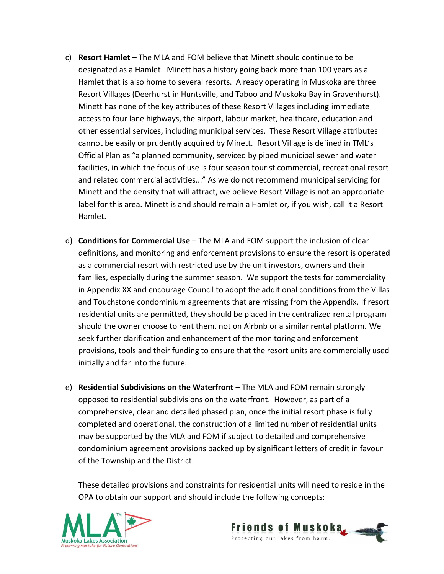- c) **Resort Hamlet –** The MLA and FOM believe that Minett should continue to be designated as a Hamlet. Minett has a history going back more than 100 years as a Hamlet that is also home to several resorts. Already operating in Muskoka are three Resort Villages (Deerhurst in Huntsville, and Taboo and Muskoka Bay in Gravenhurst). Minett has none of the key attributes of these Resort Villages including immediate access to four lane highways, the airport, labour market, healthcare, education and other essential services, including municipal services. These Resort Village attributes cannot be easily or prudently acquired by Minett. Resort Village is defined in TML's Official Plan as "a planned community, serviced by piped municipal sewer and water facilities, in which the focus of use is four season tourist commercial, recreational resort and related commercial activities..." As we do not recommend municipal servicing for Minett and the density that will attract, we believe Resort Village is not an appropriate label for this area. Minett is and should remain a Hamlet or, if you wish, call it a Resort Hamlet.
- d) **Conditions for Commercial Use** The MLA and FOM support the inclusion of clear definitions, and monitoring and enforcement provisions to ensure the resort is operated as a commercial resort with restricted use by the unit investors, owners and their families, especially during the summer season. We support the tests for commerciality in Appendix XX and encourage Council to adopt the additional conditions from the Villas and Touchstone condominium agreements that are missing from the Appendix. If resort residential units are permitted, they should be placed in the centralized rental program should the owner choose to rent them, not on Airbnb or a similar rental platform. We seek further clarification and enhancement of the monitoring and enforcement provisions, tools and their funding to ensure that the resort units are commercially used initially and far into the future.
- e) **Residential Subdivisions on the Waterfront** The MLA and FOM remain strongly opposed to residential subdivisions on the waterfront. However, as part of a comprehensive, clear and detailed phased plan, once the initial resort phase is fully completed and operational, the construction of a limited number of residential units may be supported by the MLA and FOM if subject to detailed and comprehensive condominium agreement provisions backed up by significant letters of credit in favour of the Township and the District.

These detailed provisions and constraints for residential units will need to reside in the OPA to obtain our support and should include the following concepts:



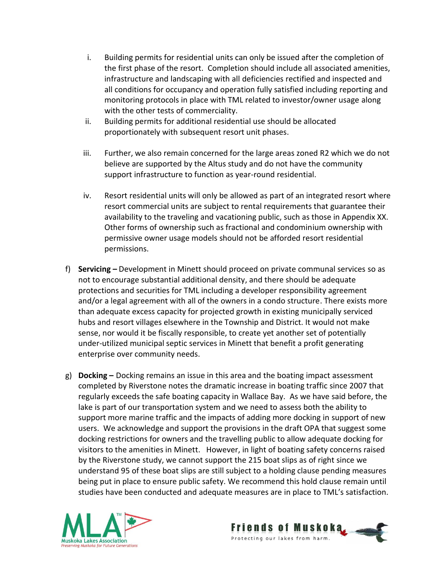- i. Building permits for residential units can only be issued after the completion of the first phase of the resort. Completion should include all associated amenities, infrastructure and landscaping with all deficiencies rectified and inspected and all conditions for occupancy and operation fully satisfied including reporting and monitoring protocols in place with TML related to investor/owner usage along with the other tests of commerciality.
- ii. Building permits for additional residential use should be allocated proportionately with subsequent resort unit phases.
- iii. Further, we also remain concerned for the large areas zoned R2 which we do not believe are supported by the Altus study and do not have the community support infrastructure to function as year-round residential.
- iv. Resort residential units will only be allowed as part of an integrated resort where resort commercial units are subject to rental requirements that guarantee their availability to the traveling and vacationing public, such as those in Appendix XX. Other forms of ownership such as fractional and condominium ownership with permissive owner usage models should not be afforded resort residential permissions.
- f) **Servicing –** Development in Minett should proceed on private communal services so as not to encourage substantial additional density, and there should be adequate protections and securities for TML including a developer responsibility agreement and/or a legal agreement with all of the owners in a condo structure. There exists more than adequate excess capacity for projected growth in existing municipally serviced hubs and resort villages elsewhere in the Township and District. It would not make sense, nor would it be fiscally responsible, to create yet another set of potentially under-utilized municipal septic services in Minett that benefit a profit generating enterprise over community needs.
- g) **Docking –** Docking remains an issue in this area and the boating impact assessment completed by Riverstone notes the dramatic increase in boating traffic since 2007 that regularly exceeds the safe boating capacity in Wallace Bay. As we have said before, the lake is part of our transportation system and we need to assess both the ability to support more marine traffic and the impacts of adding more docking in support of new users. We acknowledge and support the provisions in the draft OPA that suggest some docking restrictions for owners and the travelling public to allow adequate docking for visitors to the amenities in Minett. However, in light of boating safety concerns raised by the Riverstone study, we cannot support the 215 boat slips as of right since we understand 95 of these boat slips are still subject to a holding clause pending measures being put in place to ensure public safety. We recommend this hold clause remain until studies have been conducted and adequate measures are in place to TML's satisfaction.